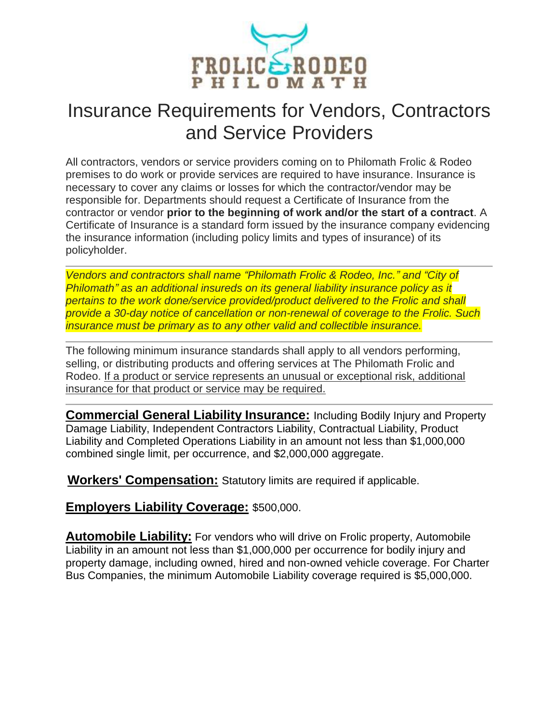

## Insurance Requirements for Vendors, Contractors and Service Providers

All contractors, vendors or service providers coming on to Philomath Frolic & Rodeo premises to do work or provide services are required to have insurance. Insurance is necessary to cover any claims or losses for which the contractor/vendor may be responsible for. Departments should request a Certificate of Insurance from the contractor or vendor **prior to the beginning of work and/or the start of a contract**. A Certificate of Insurance is a standard form issued by the insurance company evidencing the insurance information (including policy limits and types of insurance) of its policyholder.

*Vendors and contractors shall name "Philomath Frolic & Rodeo, Inc." and "City of Philomath" as an additional insureds on its general liability insurance policy as it pertains to the work done/service provided/product delivered to the Frolic and shall provide a 30-day notice of cancellation or non-renewal of coverage to the Frolic. Such insurance must be primary as to any other valid and collectible insurance.*

The following minimum insurance standards shall apply to all vendors performing, selling, or distributing products and offering services at The Philomath Frolic and Rodeo. If a product or service represents an unusual or exceptional risk, additional insurance for that product or service may be required.

**Commercial General Liability Insurance:** Including Bodily Injury and Property Damage Liability, Independent Contractors Liability, Contractual Liability, Product Liability and Completed Operations Liability in an amount not less than \$1,000,000 combined single limit, per occurrence, and \$2,000,000 aggregate.

**Workers' Compensation:** Statutory limits are required if applicable.

**Employers Liability Coverage:** \$500,000.

**Automobile Liability:** For vendors who will drive on Frolic property, Automobile Liability in an amount not less than \$1,000,000 per occurrence for bodily injury and property damage, including owned, hired and non-owned vehicle coverage. For Charter Bus Companies, the minimum Automobile Liability coverage required is \$5,000,000.